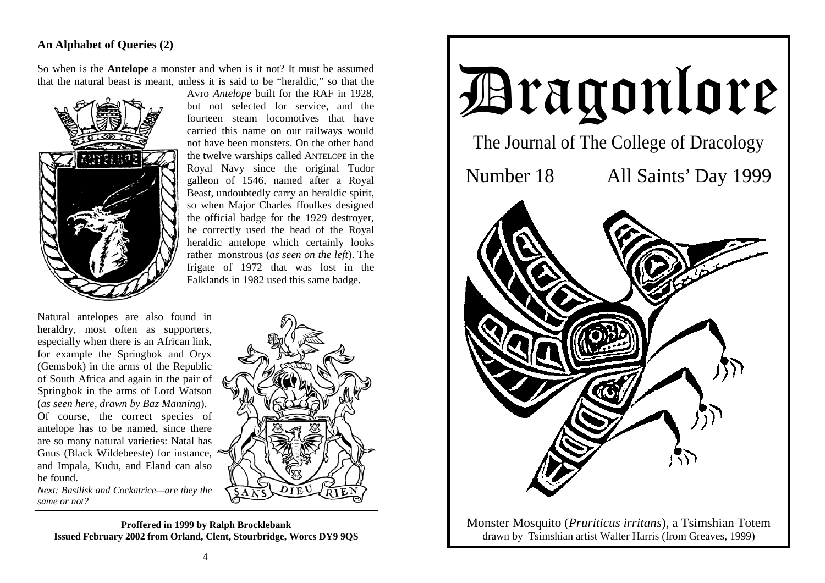## **An Alphabet of Queries (2)**

So when is the **Antelope** a monster and when is it not? It must be assumed that the natural beast is meant, unless it is said to be "heraldic," so that the



Avro *Antelope* built for the RAF in 1928, but not selected for service, and the fourteen steam locomotives that have carried this name on our railways would not have been monsters. On the other hand the twelve warships called ANTELOPE in the Royal Navy since the original Tudor galleon of 1546, named after a Royal Beast, undoubtedly carry an heraldic spirit, so when Major Charles ffoulkes designed the official badge for the 1929 destroyer, he correctly used the head of the Royal heraldic antelope which certainly looks rather monstrous (*as seen on the left*). The frigate of 1972 that was lost in the Falklands in 1982 used this same badge.

Natural antelopes are also found in heraldry, most often as supporters, especially when there is an African link, for example the Springbok and Oryx (Gemsbok) in the arms of the Republic of South Africa and again in the pair of Springbok in the arms of Lord Watson (*as seen here, drawn by Baz Manning*). Of course, the correct species of antelope has to be named, since there are so many natural varieties: Natal has Gnus (Black Wildebeeste) for instance, and Impala, Kudu, and Eland can also be found.

*Next: Basilisk and Cockatrice—are they the same or not?*



**Proffered in 1999 by Ralph Brocklebank Issued February 2002 from Orland, Clent, Stourbridge, Worcs DY9 9QS**